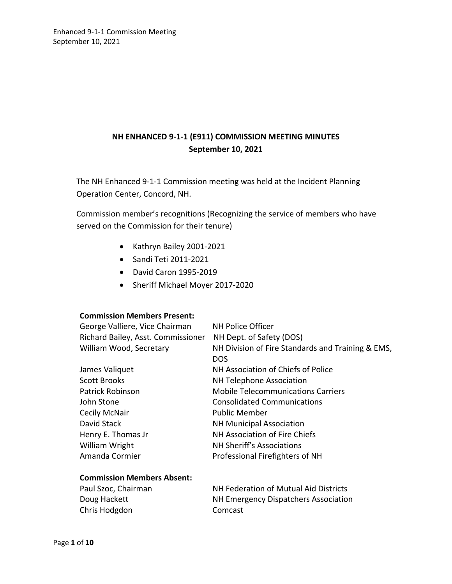## **NH ENHANCED 9-1-1 (E911) COMMISSION MEETING MINUTES September 10, 2021**

The NH Enhanced 9-1-1 Commission meeting was held at the Incident Planning Operation Center, Concord, NH.

Commission member's recognitions (Recognizing the service of members who have served on the Commission for their tenure)

- Kathryn Bailey 2001-2021
- Sandi Teti 2011-2021
- David Caron 1995-2019
- Sheriff Michael Moyer 2017-2020

#### **Commission Members Present:**

**Commission Members Absent:** 

| George Valliere, Vice Chairman     | <b>NH Police Officer</b>                          |
|------------------------------------|---------------------------------------------------|
| Richard Bailey, Asst. Commissioner | NH Dept. of Safety (DOS)                          |
| William Wood, Secretary            | NH Division of Fire Standards and Training & EMS, |
|                                    | <b>DOS</b>                                        |
| James Valiquet                     | NH Association of Chiefs of Police                |
| <b>Scott Brooks</b>                | <b>NH Telephone Association</b>                   |
| <b>Patrick Robinson</b>            | <b>Mobile Telecommunications Carriers</b>         |
| John Stone                         | <b>Consolidated Communications</b>                |
| <b>Cecily McNair</b>               | <b>Public Member</b>                              |
| David Stack                        | <b>NH Municipal Association</b>                   |
| Henry E. Thomas Jr                 | NH Association of Fire Chiefs                     |
| William Wright                     | NH Sheriff's Associations                         |
| Amanda Cormier                     | Professional Firefighters of NH                   |
|                                    |                                                   |

| Paul Szoc, Chairman | NH Federation of Mutual Aid Districts |
|---------------------|---------------------------------------|
| Doug Hackett        | NH Emergency Dispatchers Association  |
| Chris Hodgdon       | Comcast                               |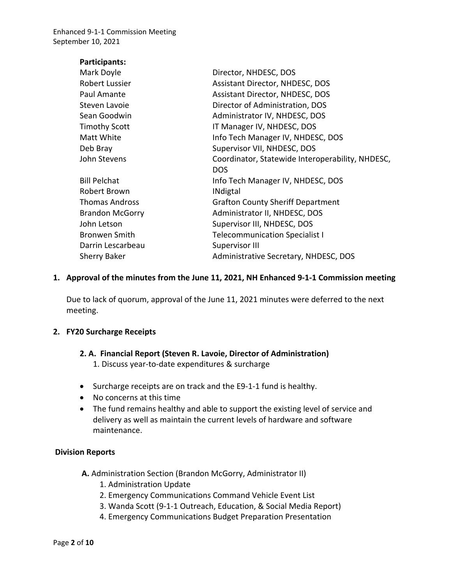| Participants:          |                                                  |
|------------------------|--------------------------------------------------|
| Mark Doyle             | Director, NHDESC, DOS                            |
| Robert Lussier         | Assistant Director, NHDESC, DOS                  |
| Paul Amante            | Assistant Director, NHDESC, DOS                  |
| Steven Lavoie          | Director of Administration, DOS                  |
| Sean Goodwin           | Administrator IV, NHDESC, DOS                    |
| <b>Timothy Scott</b>   | IT Manager IV, NHDESC, DOS                       |
| Matt White             | Info Tech Manager IV, NHDESC, DOS                |
| Deb Bray               | Supervisor VII, NHDESC, DOS                      |
| John Stevens           | Coordinator, Statewide Interoperability, NHDESC, |
|                        | <b>DOS</b>                                       |
| <b>Bill Pelchat</b>    | Info Tech Manager IV, NHDESC, DOS                |
| Robert Brown           | <b>INdigtal</b>                                  |
| <b>Thomas Andross</b>  | <b>Grafton County Sheriff Department</b>         |
| <b>Brandon McGorry</b> | Administrator II, NHDESC, DOS                    |
| John Letson            | Supervisor III, NHDESC, DOS                      |
| <b>Bronwen Smith</b>   | <b>Telecommunication Specialist I</b>            |
| Darrin Lescarbeau      | <b>Supervisor III</b>                            |
| <b>Sherry Baker</b>    | Administrative Secretary, NHDESC, DOS            |

#### **1. Approval of the minutes from the June 11, 2021, NH Enhanced 9-1-1 Commission meeting**

Due to lack of quorum, approval of the June 11, 2021 minutes were deferred to the next meeting.

#### **2. FY20 Surcharge Receipts**

- **2. A. Financial Report (Steven R. Lavoie, Director of Administration)** 1. Discuss year-to-date expenditures & surcharge
- Surcharge receipts are on track and the E9-1-1 fund is healthy.
- No concerns at this time
- The fund remains healthy and able to support the existing level of service and delivery as well as maintain the current levels of hardware and software maintenance.

#### **Division Reports**

- **A.** Administration Section (Brandon McGorry, Administrator II)
	- 1. Administration Update
	- 2. Emergency Communications Command Vehicle Event List
	- 3. Wanda Scott (9-1-1 Outreach, Education, & Social Media Report)
	- 4. Emergency Communications Budget Preparation Presentation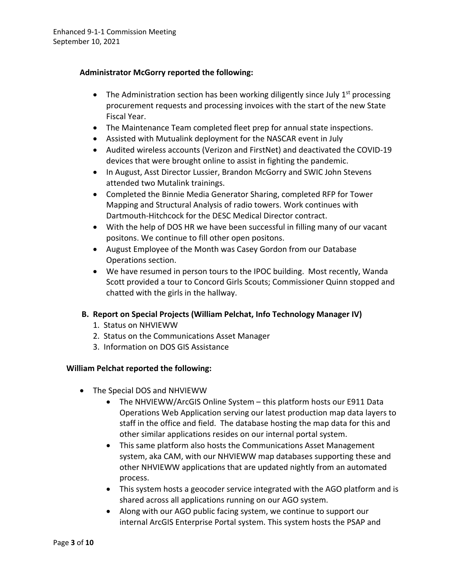### **Administrator McGorry reported the following:**

- The Administration section has been working diligently since July  $1<sup>st</sup>$  processing procurement requests and processing invoices with the start of the new State Fiscal Year.
- The Maintenance Team completed fleet prep for annual state inspections.
- Assisted with Mutualink deployment for the NASCAR event in July
- Audited wireless accounts (Verizon and FirstNet) and deactivated the COVID-19 devices that were brought online to assist in fighting the pandemic.
- In August, Asst Director Lussier, Brandon McGorry and SWIC John Stevens attended two Mutalink trainings.
- Completed the Binnie Media Generator Sharing, completed RFP for Tower Mapping and Structural Analysis of radio towers. Work continues with Dartmouth-Hitchcock for the DESC Medical Director contract.
- With the help of DOS HR we have been successful in filling many of our vacant positons. We continue to fill other open positons.
- August Employee of the Month was Casey Gordon from our Database Operations section.
- We have resumed in person tours to the IPOC building. Most recently, Wanda Scott provided a tour to Concord Girls Scouts; Commissioner Quinn stopped and chatted with the girls in the hallway.

### **B. Report on Special Projects (William Pelchat, Info Technology Manager IV)**

- 1. Status on NHVIEWW
- 2. Status on the Communications Asset Manager
- 3. Information on DOS GIS Assistance

#### **William Pelchat reported the following:**

- The Special DOS and NHVIEWW
	- The NHVIEWW/ArcGIS Online System this platform hosts our E911 Data Operations Web Application serving our latest production map data layers to staff in the office and field. The database hosting the map data for this and other similar applications resides on our internal portal system.
	- This same platform also hosts the Communications Asset Management system, aka CAM, with our NHVIEWW map databases supporting these and other NHVIEWW applications that are updated nightly from an automated process.
	- This system hosts a geocoder service integrated with the AGO platform and is shared across all applications running on our AGO system.
	- Along with our AGO public facing system, we continue to support our internal ArcGIS Enterprise Portal system. This system hosts the PSAP and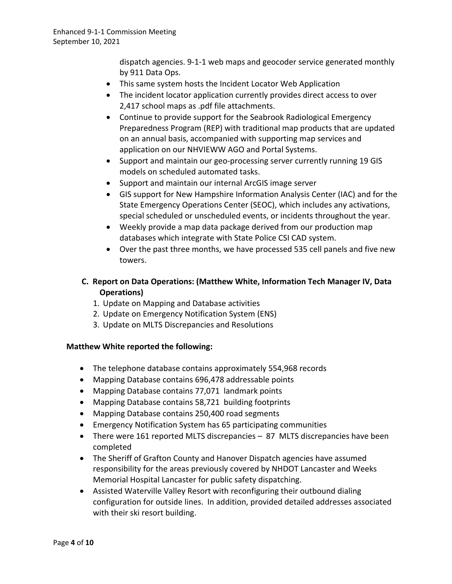dispatch agencies. 9-1-1 web maps and geocoder service generated monthly by 911 Data Ops.

- This same system hosts the Incident Locator Web Application
- The incident locator application currently provides direct access to over 2,417 school maps as .pdf file attachments.
- Continue to provide support for the Seabrook Radiological Emergency Preparedness Program (REP) with traditional map products that are updated on an annual basis, accompanied with supporting map services and application on our NHVIEWW AGO and Portal Systems.
- Support and maintain our geo-processing server currently running 19 GIS models on scheduled automated tasks.
- Support and maintain our internal ArcGIS image server
- GIS support for New Hampshire Information Analysis Center (IAC) and for the State Emergency Operations Center (SEOC), which includes any activations, special scheduled or unscheduled events, or incidents throughout the year.
- Weekly provide a map data package derived from our production map databases which integrate with State Police CSI CAD system.
- Over the past three months, we have processed 535 cell panels and five new towers.
- **C. Report on Data Operations: (Matthew White, Information Tech Manager IV, Data Operations)** 
	- 1. Update on Mapping and Database activities
	- 2. Update on Emergency Notification System (ENS)
	- 3. Update on MLTS Discrepancies and Resolutions

### **Matthew White reported the following:**

- The telephone database contains approximately 554,968 records
- Mapping Database contains 696,478 addressable points
- Mapping Database contains 77,071 landmark points
- Mapping Database contains 58,721 building footprints
- Mapping Database contains 250,400 road segments
- Emergency Notification System has 65 participating communities
- There were 161 reported MLTS discrepancies 87 MLTS discrepancies have been completed
- The Sheriff of Grafton County and Hanover Dispatch agencies have assumed responsibility for the areas previously covered by NHDOT Lancaster and Weeks Memorial Hospital Lancaster for public safety dispatching.
- Assisted Waterville Valley Resort with reconfiguring their outbound dialing configuration for outside lines. In addition, provided detailed addresses associated with their ski resort building.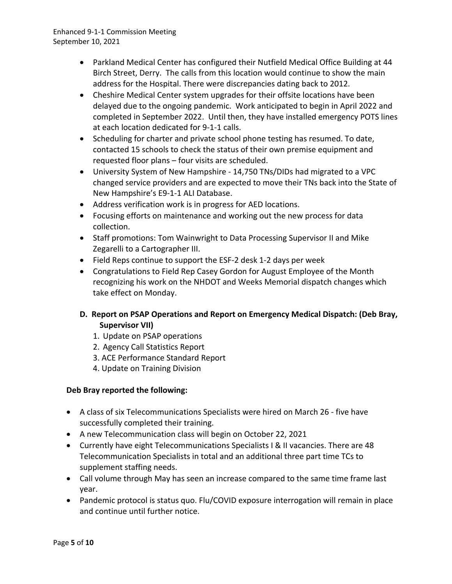- Parkland Medical Center has configured their Nutfield Medical Office Building at 44 Birch Street, Derry. The calls from this location would continue to show the main address for the Hospital. There were discrepancies dating back to 2012.
- Cheshire Medical Center system upgrades for their offsite locations have been delayed due to the ongoing pandemic. Work anticipated to begin in April 2022 and completed in September 2022. Until then, they have installed emergency POTS lines at each location dedicated for 9-1-1 calls.
- Scheduling for charter and private school phone testing has resumed. To date, contacted 15 schools to check the status of their own premise equipment and requested floor plans – four visits are scheduled.
- University System of New Hampshire 14,750 TNs/DIDs had migrated to a VPC changed service providers and are expected to move their TNs back into the State of New Hampshire's E9-1-1 ALI Database.
- Address verification work is in progress for AED locations.
- Focusing efforts on maintenance and working out the new process for data collection.
- Staff promotions: Tom Wainwright to Data Processing Supervisor II and Mike Zegarelli to a Cartographer III.
- Field Reps continue to support the ESF-2 desk 1-2 days per week
- Congratulations to Field Rep Casey Gordon for August Employee of the Month recognizing his work on the NHDOT and Weeks Memorial dispatch changes which take effect on Monday.

## **D. Report on PSAP Operations and Report on Emergency Medical Dispatch: (Deb Bray, Supervisor VII)**

- 1. Update on PSAP operations
- 2. Agency Call Statistics Report
- 3. ACE Performance Standard Report
- 4. Update on Training Division

### **Deb Bray reported the following:**

- A class of six Telecommunications Specialists were hired on March 26 five have successfully completed their training.
- A new Telecommunication class will begin on October 22, 2021
- Currently have eight Telecommunications Specialists I & II vacancies. There are 48 Telecommunication Specialists in total and an additional three part time TCs to supplement staffing needs.
- Call volume through May has seen an increase compared to the same time frame last year.
- Pandemic protocol is status quo. Flu/COVID exposure interrogation will remain in place and continue until further notice.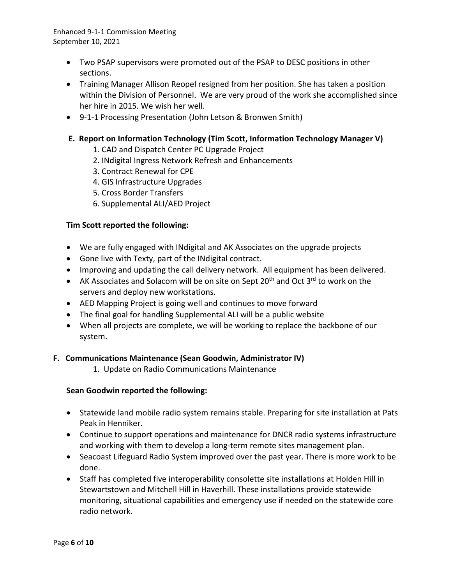- Two PSAP supervisors were promoted out of the PSAP to DESC positions in other sections.
- Training Manager Allison Reopel resigned from her position. She has taken a position within the Division of Personnel. We are very proud of the work she accomplished since her hire in 2015. We wish her well.
- 9-1-1 Processing Presentation (John Letson & Bronwen Smith)

### **E. Report on Information Technology (Tim Scott, Information Technology Manager V)**

- 1. CAD and Dispatch Center PC Upgrade Project
- 2. INdigital Ingress Network Refresh and Enhancements
- 3. Contract Renewal for CPE
- 4. GIS Infrastructure Upgrades
- 5. Cross Border Transfers
- 6. Supplemental ALI/AED Project

#### **Tim Scott reported the following:**

- We are fully engaged with INdigital and AK Associates on the upgrade projects
- Gone live with Texty, part of the INdigital contract.
- Improving and updating the call delivery network. All equipment has been delivered.
- AK Associates and Solacom will be on site on Sept 20<sup>th</sup> and Oct 3<sup>rd</sup> to work on the servers and deploy new workstations.
- AED Mapping Project is going well and continues to move forward
- The final goal for handling Supplemental ALI will be a public website
- When all projects are complete, we will be working to replace the backbone of our system.

#### **F. Communications Maintenance (Sean Goodwin, Administrator IV)**

1. Update on Radio Communications Maintenance

#### **Sean Goodwin reported the following:**

- Statewide land mobile radio system remains stable. Preparing for site installation at Pats Peak in Henniker.
- Continue to support operations and maintenance for DNCR radio systems infrastructure and working with them to develop a long-term remote sites management plan.
- Seacoast Lifeguard Radio System improved over the past year. There is more work to be done.
- Staff has completed five interoperability consolette site installations at Holden Hill in Stewartstown and Mitchell Hill in Haverhill. These installations provide statewide monitoring, situational capabilities and emergency use if needed on the statewide core radio network.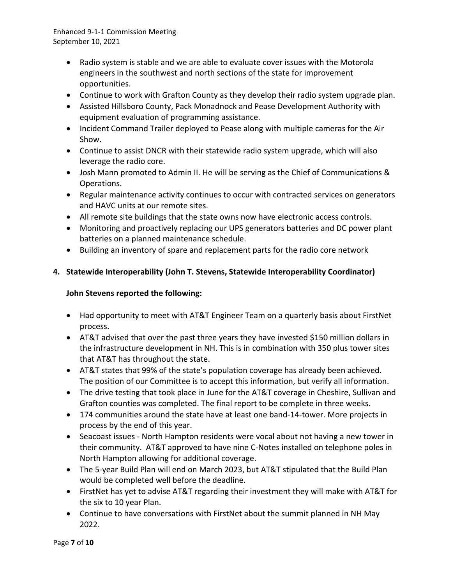- Radio system is stable and we are able to evaluate cover issues with the Motorola engineers in the southwest and north sections of the state for improvement opportunities.
- Continue to work with Grafton County as they develop their radio system upgrade plan.
- Assisted Hillsboro County, Pack Monadnock and Pease Development Authority with equipment evaluation of programming assistance.
- Incident Command Trailer deployed to Pease along with multiple cameras for the Air Show.
- Continue to assist DNCR with their statewide radio system upgrade, which will also leverage the radio core.
- Josh Mann promoted to Admin II. He will be serving as the Chief of Communications & Operations.
- Regular maintenance activity continues to occur with contracted services on generators and HAVC units at our remote sites.
- All remote site buildings that the state owns now have electronic access controls.
- Monitoring and proactively replacing our UPS generators batteries and DC power plant batteries on a planned maintenance schedule.
- Building an inventory of spare and replacement parts for the radio core network

# **4. Statewide Interoperability (John T. Stevens, Statewide Interoperability Coordinator)**

### **John Stevens reported the following:**

- Had opportunity to meet with AT&T Engineer Team on a quarterly basis about FirstNet process.
- AT&T advised that over the past three years they have invested \$150 million dollars in the infrastructure development in NH. This is in combination with 350 plus tower sites that AT&T has throughout the state.
- AT&T states that 99% of the state's population coverage has already been achieved. The position of our Committee is to accept this information, but verify all information.
- The drive testing that took place in June for the AT&T coverage in Cheshire, Sullivan and Grafton counties was completed. The final report to be complete in three weeks.
- 174 communities around the state have at least one band-14-tower. More projects in process by the end of this year.
- Seacoast issues North Hampton residents were vocal about not having a new tower in their community. AT&T approved to have nine C-Notes installed on telephone poles in North Hampton allowing for additional coverage.
- The 5-year Build Plan will end on March 2023, but AT&T stipulated that the Build Plan would be completed well before the deadline.
- FirstNet has yet to advise AT&T regarding their investment they will make with AT&T for the six to 10 year Plan.
- Continue to have conversations with FirstNet about the summit planned in NH May 2022.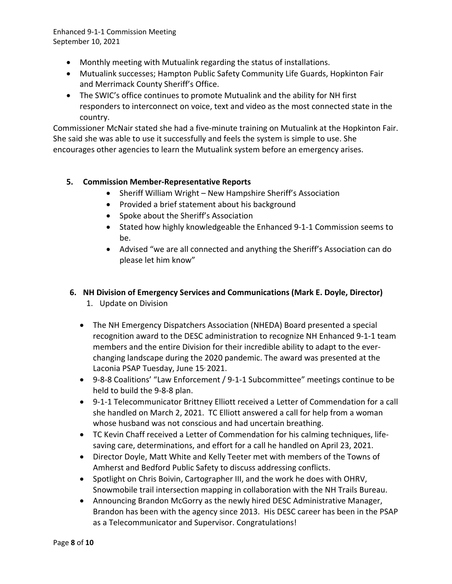- Monthly meeting with Mutualink regarding the status of installations.
- Mutualink successes; Hampton Public Safety Community Life Guards, Hopkinton Fair and Merrimack County Sheriff's Office.
- The SWIC's office continues to promote Mutualink and the ability for NH first responders to interconnect on voice, text and video as the most connected state in the country.

Commissioner McNair stated she had a five-minute training on Mutualink at the Hopkinton Fair. She said she was able to use it successfully and feels the system is simple to use. She encourages other agencies to learn the Mutualink system before an emergency arises.

### **5. Commission Member-Representative Reports**

- Sheriff William Wright New Hampshire Sheriff's Association
- Provided a brief statement about his background
- Spoke about the Sheriff's Association
- Stated how highly knowledgeable the Enhanced 9-1-1 Commission seems to be.
- Advised "we are all connected and anything the Sheriff's Association can do please let him know"

## **6. NH Division of Emergency Services and Communications (Mark E. Doyle, Director)**

- 1. Update on Division
- The NH Emergency Dispatchers Association (NHEDA) Board presented a special recognition award to the DESC administration to recognize NH Enhanced 9-1-1 team members and the entire Division for their incredible ability to adapt to the everchanging landscape during the 2020 pandemic. The award was presented at the Laconia PSAP Tuesday, June 15<sup>,</sup> 2021.
- 9-8-8 Coalitions' "Law Enforcement / 9-1-1 Subcommittee" meetings continue to be held to build the 9-8-8 plan.
- 9-1-1 Telecommunicator Brittney Elliott received a Letter of Commendation for a call she handled on March 2, 2021. TC Elliott answered a call for help from a woman whose husband was not conscious and had uncertain breathing.
- TC Kevin Chaff received a Letter of Commendation for his calming techniques, lifesaving care, determinations, and effort for a call he handled on April 23, 2021.
- Director Doyle, Matt White and Kelly Teeter met with members of the Towns of Amherst and Bedford Public Safety to discuss addressing conflicts.
- Spotlight on Chris Boivin, Cartographer III, and the work he does with OHRV, Snowmobile trail intersection mapping in collaboration with the NH Trails Bureau.
- Announcing Brandon McGorry as the newly hired DESC Administrative Manager, Brandon has been with the agency since 2013. His DESC career has been in the PSAP as a Telecommunicator and Supervisor. Congratulations!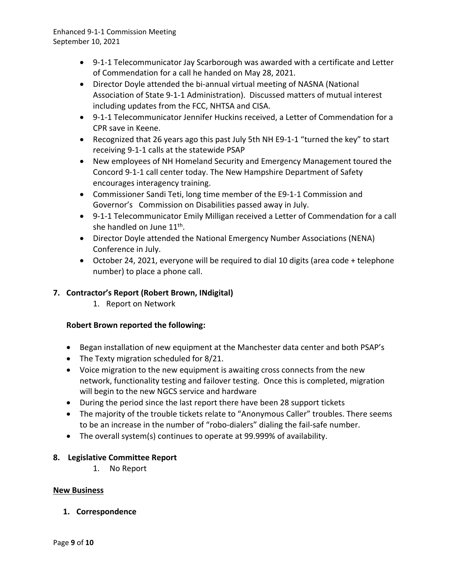- 9-1-1 Telecommunicator Jay Scarborough was awarded with a certificate and Letter of Commendation for a call he handed on May 28, 2021.
- Director Doyle attended the bi-annual virtual meeting of NASNA (National Association of State 9-1-1 Administration). Discussed matters of mutual interest including updates from the FCC, NHTSA and CISA.
- 9-1-1 Telecommunicator Jennifer Huckins received, a Letter of Commendation for a CPR save in Keene.
- Recognized that 26 years ago this past July 5th NH E9-1-1 "turned the key" to start receiving 9-1-1 calls at the statewide PSAP
- New employees of NH Homeland Security and Emergency Management toured the Concord 9-1-1 call center today. The New Hampshire Department of Safety encourages interagency training.
- Commissioner Sandi Teti, long time member of the E9-1-1 Commission and Governor's Commission on Disabilities passed away in July.
- 9-1-1 Telecommunicator Emily Milligan received a Letter of Commendation for a call she handled on June 11<sup>th</sup>.
- Director Doyle attended the National Emergency Number Associations (NENA) Conference in July.
- October 24, 2021, everyone will be required to dial 10 digits (area code + telephone number) to place a phone call.

## **7. Contractor's Report (Robert Brown, INdigital)**

1. Report on Network

### **Robert Brown reported the following:**

- Began installation of new equipment at the Manchester data center and both PSAP's
- The Texty migration scheduled for 8/21.
- Voice migration to the new equipment is awaiting cross connects from the new network, functionality testing and failover testing. Once this is completed, migration will begin to the new NGCS service and hardware
- During the period since the last report there have been 28 support tickets
- The majority of the trouble tickets relate to "Anonymous Caller" troubles. There seems to be an increase in the number of "robo-dialers" dialing the fail-safe number.
- The overall system(s) continues to operate at 99.999% of availability.

### **8. Legislative Committee Report**

1. No Report

### **New Business**

**1. Correspondence**